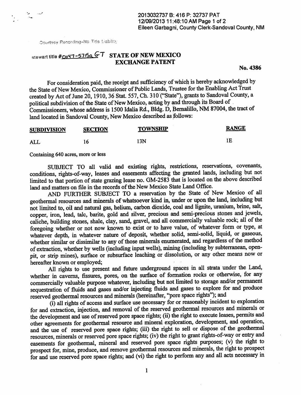Oourtesy Recording-No Title Liability

## $S$ tewart title #Ouy7-57i5a GT STATE OF NEW MEXICO **EXCHANGE PATENT**

No. 4386

 $\mathcal{L}$ 

For consideration paid, the receipt and sufficiency of which is hereby acknowledged by the State of New Mexico, Commissioner of Public Lands, Trustee for the Enabling Act Trust created by Act of June 20, 1910, 36 Stat. 557, Ch. 310 ("State"), grants to Sandoval County, a political subdivision of the State of New Mexico, acting by and through its Board of Commissioners, whose address is 1500 Idalia Rd., Bldg. D, Bernalillo, NM 87004, the tract of land located in Sandoval County, New Mexico described as follows:

| <b>SUBDIVISION</b> | <b>SECTION</b> | <b>TOWNSHIP</b> | <b>RANGE</b> |
|--------------------|----------------|-----------------|--------------|
| ALL                |                | 13N             |              |

Containing 640 acres, more or less

SUBJECT TO all valid and existing rights, restrictions, reservations, covenants, conditions, rights-of-way, leases and easements affecting the granted lands, including but not limited to that portion of state grazing lease no. GM-2583 that is located on the above described land and matters on file in the records of the New Mexico State Land Office.

AND FURTHER SUBJECT TO a reservation by the State of New Mexico of all geothermal resources and minerals of whatsoever kind in, under or upon the land, including but not limited to, oil and natural gas, helium, carbon dioxide, coal and lignite, uranium, brine, salt, copper, iron, lead, talc, barite, gold and silver, precious and semi-precious stones and jewels, caliche, building stones, shale, clay, sand, gravel, and all conunercially valuable rock; all of the foregoing whether or not now known to exist or to have value, of whatever form or type, at whatever depth, in whatever nature of deposit, whether solid, semi-solid, liquid, or gaseous, whether similar or dissimilar to any of those minerals enumerated, and regardless of the method of extraction, whether by wells (including input wells), mining (including by subterranean, openpit, or strip mines), surface or subsurface leaching or dissolution, or any other means now or hereafter known or employed;

All rights to use present and future underground spaces in all strata under the Land, whether in caverns, fissures, pores, on the surface of formation rocks or otherwise, for any commercially valuable purpose whatever, including but not limited to storage and/or permanent sequestration of fluids and gases and/or injecting fluids and gases to explore for and produce reserved geothermal resources and minerals (hereinafter, "pore space rights"); and<br>(i) all rights of access and surface use necessary for or reasonably incident to exploration

for and extraction, injection, and removal of the reserved geothermal resources and minerals or the development and use of reserved pore space rights; (ii) the right to execute leases, permits and other agreements for geothermal resource and mineral exploration, development, and operation, and the use of reserved pore space rights; (iii) the right to sell or dispose of the geothermal resources, minerals or reserved pore space rights; (iv) the right to grant rights-of-way or entry and easements for geothermal, mineral and reserved pore space rights purposes; (v) the right to prospect for, mine, produce, and remove geothermal resources and minerals, the right to prospect prospect for, mine, produce, and remove geothermal resources and minerals, the right to prospect for and use reserved pore space rights; and (vi) the right to perform any and all acts necessary in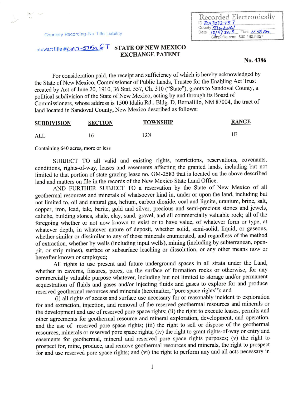Courtesy Recording-No Title Liability

 $\sim$  $\sim$ 

## stewart title #OIIY7-57I5a GT STATE OF NEW MEXICO **EXCHANGE PATENT**

No. 4386

Recorded Electronically  $\frac{10}{2013032}$  73 Date  $12/9/2013$  Time  $11/8$  Pm Simplifile.com 800.460.5657

For consideration paid, the receipt and sufficiency of which is hereby acknowledged by the State of New Mexico, Commissioner of Public Lands, Trustee for the Enabjing Act Trust created by Act of June 20, 1910, 36 Stat. 557, Ch. 310 ("State"), grants to Sandoval County, a political subdivision of the State of New Mexico, acting by and through its Board of Commissioners, whose address is 1500 Idalia Rd., Bldg. D, Bernalillo, NM 87004, the tract of land located in Sandoval County, New Mexico described as follows:

| <b>SUBDIVISION</b> | <b>SECTION</b> | <b>TOWNSHIP</b> | <b>RANGE</b> |
|--------------------|----------------|-----------------|--------------|
| ALL                |                | 13N             |              |

Containing 640 acres, more or less

SUBJECT TO all valid and existing rights, restrictions, reservations, covenants, conditions, rights-of-way, leases and easements affecting the granted lands, including but not limited to that portion of state grazing lease no. GM-2583 that is located on the above described land and matters on file in the records of the New Mexico State Land Office.

AND FURTHER SUBJECT TO a reservation by the State of New Mexico of all geothermal resources and minerals of whatsoever kind in, under or upon the land, including but not limited to, oil and natural gas, helium, carbon dioxide, coal and lignite, uranium, brine, salt, copper, iron, lead, talc, barite, gold and silver, precious and semi-precious stones and jewels, caliche, building stones, shale, clay, sand, gravel, and all commercially valuable rock; all of the foregoing whether or not now known to exist or to have value, of whatever form or type, at whatever depth, in whatever nature of deposit, whether solid, semi-solid, liquid, or gaseous, whether similar or dissimilar to any of those minerals enumerated, and regardless of the method of extraction, whether by wells (including input wells), mining (including by subterranean, openpit, or strip mines), surface or subsurface leaching or dissolution, or any other means now or hereafter known or employed;

All rights to use present and future underground spaces in all strata under the Land, whether in caverns, fissures, pores, on the surface of formation rocks or otherwise, for any commercially valuable purpose whatever, including but not limited to storage and/or permanent sequestration of fluids and gases and/or injecting fluids and gases to explore for and produce reserved geothermal resources and minerals (hereinafter, "pore space rights"); and<br>(i) all rights of access and surface use necessary for or reasonably incident to exploration

for and extraction, injection, and removal of the reserved geothermal resources and minerals or the development and use of reserved pore space rights; (ii) the right to execute leases, permits and other agreements for geothermal resource and mineral exploration, development, and operation, and the use of reserved pore space rights; (iii) the right to sell or dispose of the geothermal resources, minerals or reserved pore space rights; (iv) the right to grant rights-of-way or entry and easements for geothermal, mineral and reserved pore space rights purposes; (v) the right to prospect for, mine, produce, and remove geothermal resources and minerals, the right to prospect for and use reserved pore space rights; and (vi) the right to perform any and all acts necessary in

1